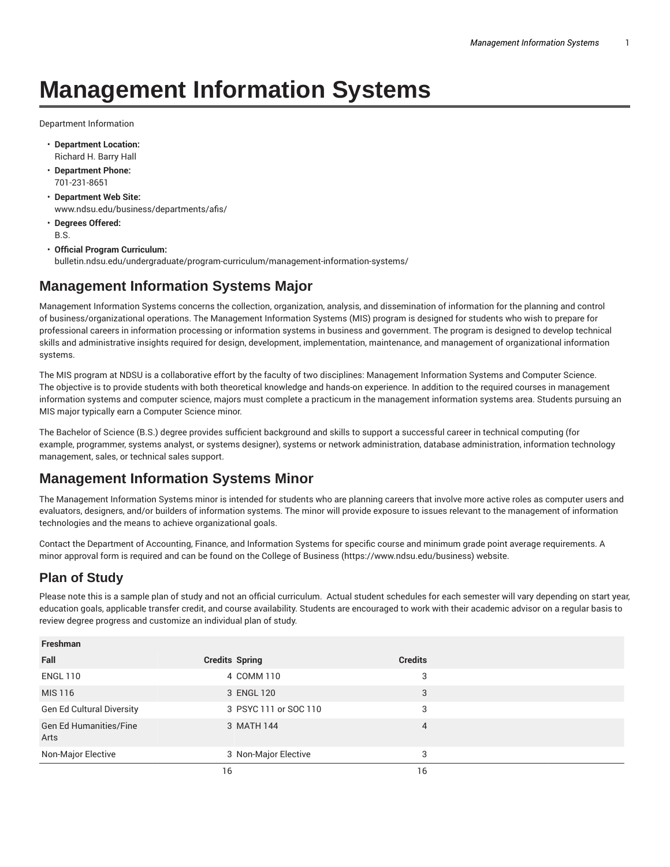## **Management Information Systems**

Department Information

- **Department Location:** Richard H. Barry Hall
- **Department Phone:** 701-231-8651
- **Department Web Site:** www.ndsu.edu/business/departments/afis/
- **Degrees Offered:** B.S.
- **Official Program Curriculum:** bulletin.ndsu.edu/undergraduate/program-curriculum/management-information-systems/

## **Management Information Systems Major**

Management Information Systems concerns the collection, organization, analysis, and dissemination of information for the planning and control of business/organizational operations. The Management Information Systems (MIS) program is designed for students who wish to prepare for professional careers in information processing or information systems in business and government. The program is designed to develop technical skills and administrative insights required for design, development, implementation, maintenance, and management of organizational information systems.

The MIS program at NDSU is a collaborative effort by the faculty of two disciplines: Management Information Systems and Computer Science. The objective is to provide students with both theoretical knowledge and hands-on experience. In addition to the required courses in management information systems and computer science, majors must complete a practicum in the management information systems area. Students pursuing an MIS major typically earn a Computer Science minor.

The Bachelor of Science (B.S.) degree provides sufficient background and skills to support a successful career in technical computing (for example, programmer, systems analyst, or systems designer), systems or network administration, database administration, information technology management, sales, or technical sales support.

## **Management Information Systems Minor**

The Management Information Systems minor is intended for students who are planning careers that involve more active roles as computer users and evaluators, designers, and/or builders of information systems. The minor will provide exposure to issues relevant to the management of information technologies and the means to achieve organizational goals.

Contact the Department of Accounting, Finance, and Information Systems for specific course and minimum grade point average requirements. A minor approval form is required and can be found on the College of Business (https://www.ndsu.edu/business) website.

## **Plan of Study**

Please note this is a sample plan of study and not an official curriculum. Actual student schedules for each semester will vary depending on start year, education goals, applicable transfer credit, and course availability. Students are encouraged to work with their academic advisor on a regular basis to review degree progress and customize an individual plan of study.

| <b>Freshman</b>                       |                       |                |  |
|---------------------------------------|-----------------------|----------------|--|
| Fall                                  | <b>Credits Spring</b> | <b>Credits</b> |  |
| <b>ENGL 110</b>                       | 4 COMM 110            | 3              |  |
| MIS 116                               | 3 ENGL 120            | 3              |  |
| Gen Ed Cultural Diversity             | 3 PSYC 111 or SOC 110 | 3              |  |
| <b>Gen Ed Humanities/Fine</b><br>Arts | 3 MATH 144            | 4              |  |
| Non-Major Elective                    | 3 Non-Major Elective  | 3              |  |
|                                       | 16                    | 16             |  |